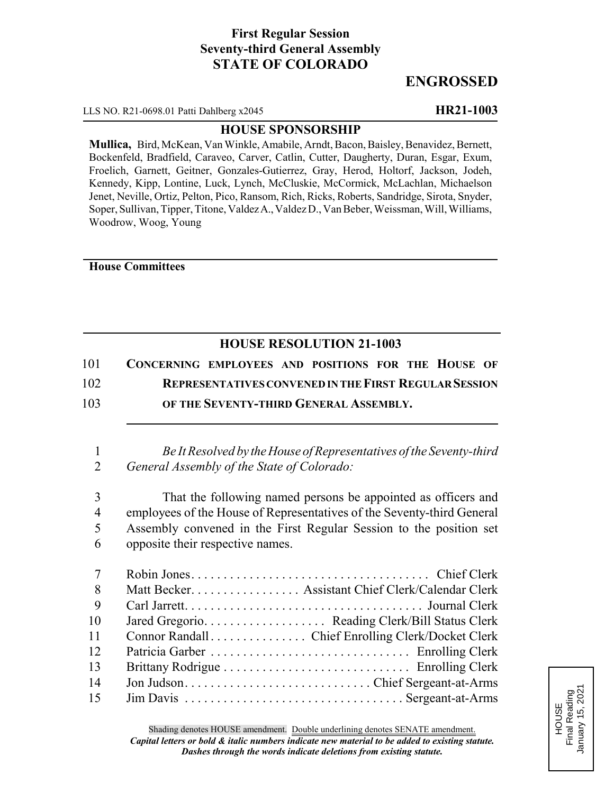# **First Regular Session Seventy-third General Assembly STATE OF COLORADO**

# **ENGROSSED**

LLS NO. R21-0698.01 Patti Dahlberg x2045 **HR21-1003**

## **HOUSE SPONSORSHIP**

**Mullica,** Bird, McKean, Van Winkle, Amabile, Arndt, Bacon, Baisley, Benavidez, Bernett, Bockenfeld, Bradfield, Caraveo, Carver, Catlin, Cutter, Daugherty, Duran, Esgar, Exum, Froelich, Garnett, Geitner, Gonzales-Gutierrez, Gray, Herod, Holtorf, Jackson, Jodeh, Kennedy, Kipp, Lontine, Luck, Lynch, McCluskie, McCormick, McLachlan, Michaelson Jenet, Neville, Ortiz, Pelton, Pico, Ransom, Rich, Ricks, Roberts, Sandridge, Sirota, Snyder, Soper, Sullivan, Tipper, Titone, Valdez A., Valdez D., Van Beber, Weissman, Will, Williams, Woodrow, Woog, Young

### **House Committees**

## **HOUSE RESOLUTION 21-1003**

| 101 | CONCERNING EMPLOYEES AND POSITIONS FOR THE HOUSE OF          |
|-----|--------------------------------------------------------------|
| 102 | <b>REPRESENTATIVES CONVENED IN THE FIRST REGULAR SESSION</b> |
| 103 | OF THE SEVENTY-THIRD GENERAL ASSEMBLY.                       |

1 *Be It Resolved by the House of Representatives of the Seventy-third* 2 *General Assembly of the State of Colorado:*

 That the following named persons be appointed as officers and employees of the House of Representatives of the Seventy-third General Assembly convened in the First Regular Session to the position set opposite their respective names.

| $7\overline{ }$ |                                                   |
|-----------------|---------------------------------------------------|
| 8               | Matt Becker. Assistant Chief Clerk/Calendar Clerk |
| 9               |                                                   |
| 10              |                                                   |
| 11              |                                                   |
| 12              |                                                   |
| 13              |                                                   |
| 14              |                                                   |
| 15              |                                                   |

HOUSE<br>Final Reading<br>January 15, 2021 Final Reading January 15, 2021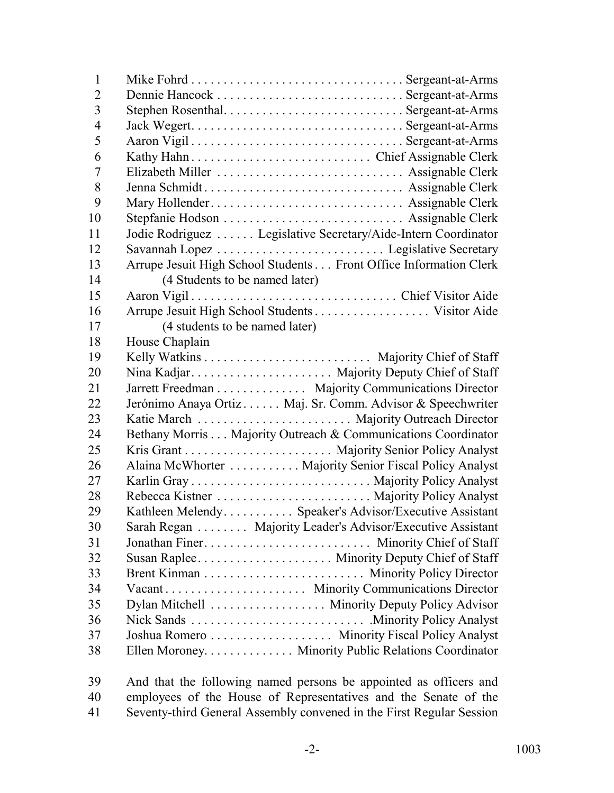| $\mathbf{1}$   |                                                                   |
|----------------|-------------------------------------------------------------------|
| $\overline{2}$ |                                                                   |
| $\overline{3}$ |                                                                   |
| $\overline{4}$ |                                                                   |
| 5              |                                                                   |
| 6              |                                                                   |
| 7              | Elizabeth Miller  Assignable Clerk                                |
| 8              |                                                                   |
| 9              |                                                                   |
| 10             |                                                                   |
| 11             | Jodie Rodriguez  Legislative Secretary/Aide-Intern Coordinator    |
| 12             |                                                                   |
| 13             | Arrupe Jesuit High School Students Front Office Information Clerk |
| 14             | (4 Students to be named later)                                    |
| 15             |                                                                   |
| 16             |                                                                   |
| 17             | (4 students to be named later)                                    |
| 18             | House Chaplain                                                    |
| 19             |                                                                   |
| 20             |                                                                   |
| 21             | Jarrett Freedman Majority Communications Director                 |
| 22             | Jerónimo Anaya Ortiz Maj. Sr. Comm. Advisor & Speechwriter        |
| 23             |                                                                   |
| 24             | Bethany Morris Majority Outreach & Communications Coordinator     |
| 25             |                                                                   |
| 26             | Alaina McWhorter Majority Senior Fiscal Policy Analyst            |
| 27             |                                                                   |
| 28             |                                                                   |
| 29             | Kathleen Melendy Speaker's Advisor/Executive Assistant            |
| 30             | Sarah Regan Majority Leader's Advisor/Executive Assistant         |
| 31             | Jonathan Finer Minority Chief of Staff                            |
| 32             |                                                                   |
| 33             |                                                                   |
| 34             |                                                                   |
| 35             | Dylan Mitchell Minority Deputy Policy Advisor                     |
| 36             |                                                                   |
| 37             | Joshua Romero Minority Fiscal Policy Analyst                      |
| 38             | Ellen Moroney. Minority Public Relations Coordinator              |
| 30             | And that the following named persons be appointed as officers and |

 And that the following named persons be appointed as officers and 40 employees of the House of Representatives and the Senate of the 41 Seventy-third General Assembly convened in the First Regular Session Seventy-third General Assembly convened in the First Regular Session